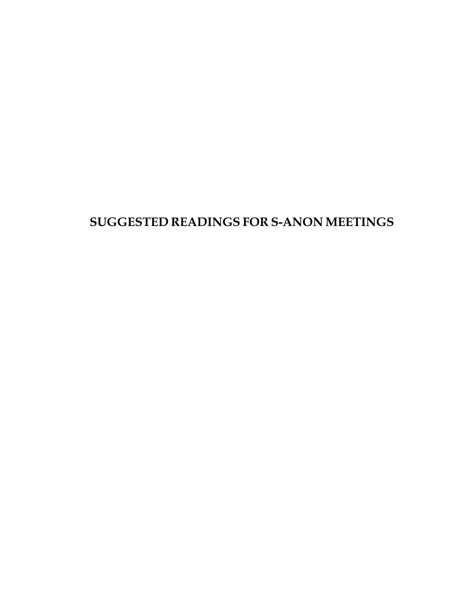# **SUGGESTED READINGS FOR S-ANON MEETINGS**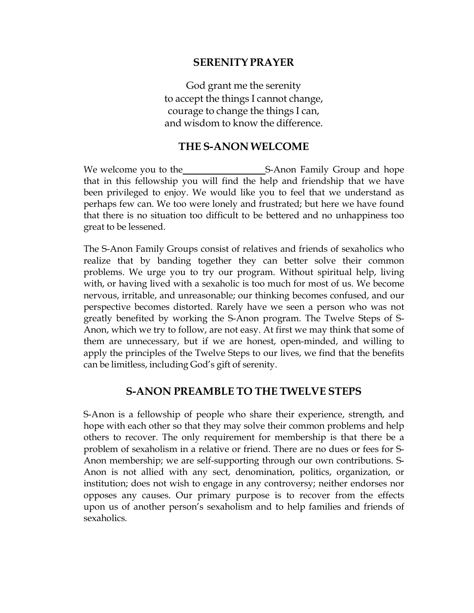## **SERENITY PRAYER**

God grant me the serenity to accept the things I cannot change, courage to change the things I can, and wisdom to know the difference.

## **THE S-ANON WELCOME**

We welcome you to the S-Anon Family Group and hope that in this fellowship you will find the help and friendship that we have been privileged to enjoy. We would like you to feel that we understand as perhaps few can. We too were lonely and frustrated; but here we have found that there is no situation too difficult to be bettered and no unhappiness too great to be lessened.

The S-Anon Family Groups consist of relatives and friends of sexaholics who realize that by banding together they can better solve their common problems. We urge you to try our program. Without spiritual help, living with, or having lived with a sexaholic is too much for most of us. We become nervous, irritable, and unreasonable; our thinking becomes confused, and our perspective becomes distorted. Rarely have we seen a person who was not greatly benefited by working the S-Anon program. The Twelve Steps of S-Anon, which we try to follow, are not easy. At first we may think that some of them are unnecessary, but if we are honest, open-minded, and willing to apply the principles of the Twelve Steps to our lives, we find that the benefits can be limitless, including God's gift of serenity.

## **S-ANON PREAMBLE TO THE TWELVE STEPS**

S-Anon is a fellowship of people who share their experience, strength, and hope with each other so that they may solve their common problems and help others to recover. The only requirement for membership is that there be a problem of sexaholism in a relative or friend. There are no dues or fees for S-Anon membership; we are self-supporting through our own contributions. S-Anon is not allied with any sect, denomination, politics, organization, or institution; does not wish to engage in any controversy; neither endorses nor opposes any causes. Our primary purpose is to recover from the effects upon us of another person's sexaholism and to help families and friends of sexaholics.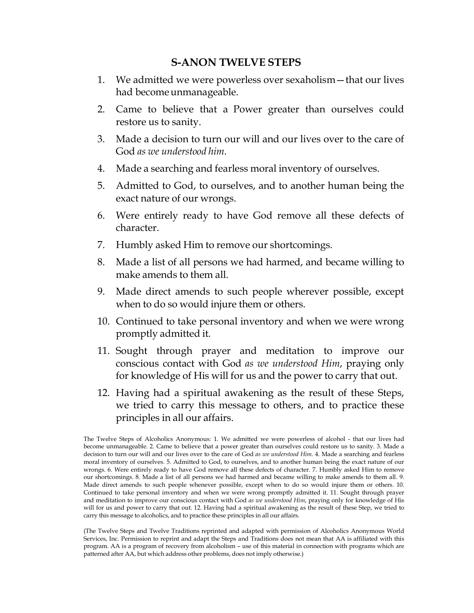# **S-ANON TWELVE STEPS**

- 1. We admitted we were powerless over sexaholism—that our lives had become unmanageable.
- 2. Came to believe that a Power greater than ourselves could restore us to sanity.
- 3. Made a decision to turn our will and our lives over to the care of God *as we understood him*.
- 4. Made a searching and fearless moral inventory of ourselves.
- 5. Admitted to God, to ourselves, and to another human being the exact nature of our wrongs.
- 6. Were entirely ready to have God remove all these defects of character.
- 7. Humbly asked Him to remove our shortcomings.
- 8. Made a list of all persons we had harmed, and became willing to make amends to them all.
- 9. Made direct amends to such people wherever possible, except when to do so would injure them or others.
- 10. Continued to take personal inventory and when we were wrong promptly admitted it.
- 11. Sought through prayer and meditation to improve our conscious contact with God *as we understood Him*, praying only for knowledge of His will for us and the power to carry that out.
- 12. Having had a spiritual awakening as the result of these Steps, we tried to carry this message to others, and to practice these principles in all our affairs.

(The Twelve Steps and Twelve Traditions reprinted and adapted with permission of Alcoholics Anonymous World Services, Inc. Permission to reprint and adapt the Steps and Traditions does not mean that AA is affiliated with this program. AA is a program of recovery from alcoholism – use of this material in connection with programs which are patterned after AA, but which address other problems, does not imply otherwise.)

The Twelve Steps of Alcoholics Anonymous: 1. We admitted we were powerless of alcohol - that our lives had become unmanageable. 2. Came to believe that a power greater than ourselves could restore us to sanity. 3. Made a decision to turn our will and our lives over to the care of God *as we understood Him*. 4. Made a searching and fearless moral inventory of ourselves. 5. Admitted to God, to ourselves, and to another human being the exact nature of our wrongs. 6. Were entirely ready to have God remove all these defects of character. 7. Humbly asked Him to remove our shortcomings. 8. Made a list of all persons we had harmed and became willing to make amends to them all. 9. Made direct amends to such people whenever possible, except when to do so would injure them or others. 10. Continued to take personal inventory and when we were wrong promptly admitted it. 11. Sought through prayer and meditation to improve our conscious contact with God *as we understood Him*, praying only for knowledge of His will for us and power to carry that out. 12. Having had a spiritual awakening as the result of these Step, we tried to carry this message to alcoholics, and to practice these principles in all our affairs.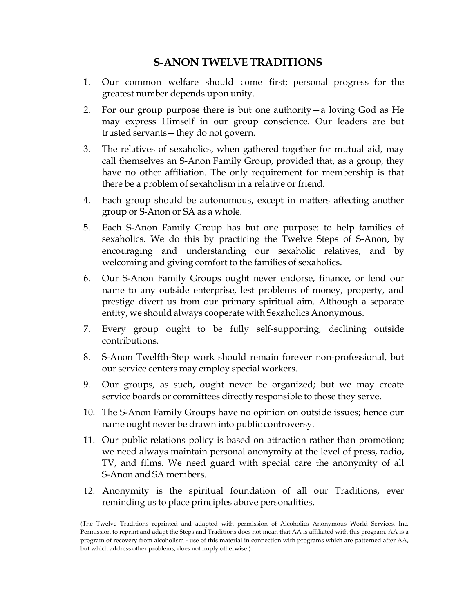# **S-ANON TWELVE TRADITIONS**

- 1. Our common welfare should come first; personal progress for the greatest number depends upon unity.
- 2. For our group purpose there is but one authority—a loving God as He may express Himself in our group conscience. Our leaders are but trusted servants—they do not govern.
- 3. The relatives of sexaholics, when gathered together for mutual aid, may call themselves an S-Anon Family Group, provided that, as a group, they have no other affiliation. The only requirement for membership is that there be a problem of sexaholism in a relative or friend.
- 4. Each group should be autonomous, except in matters affecting another group or S-Anon or SA as a whole.
- 5. Each S-Anon Family Group has but one purpose: to help families of sexaholics. We do this by practicing the Twelve Steps of S-Anon, by encouraging and understanding our sexaholic relatives, and by welcoming and giving comfort to the families of sexaholics.
- 6. Our S-Anon Family Groups ought never endorse, finance, or lend our name to any outside enterprise, lest problems of money, property, and prestige divert us from our primary spiritual aim. Although a separate entity, we should always cooperate with Sexaholics Anonymous.
- 7. Every group ought to be fully self-supporting, declining outside contributions.
- 8. S-Anon Twelfth-Step work should remain forever non-professional, but our service centers may employ special workers.
- 9. Our groups, as such, ought never be organized; but we may create service boards or committees directly responsible to those they serve.
- 10. The S-Anon Family Groups have no opinion on outside issues; hence our name ought never be drawn into public controversy.
- 11. Our public relations policy is based on attraction rather than promotion; we need always maintain personal anonymity at the level of press, radio, TV, and films. We need guard with special care the anonymity of all S-Anon and SA members.
- 12. Anonymity is the spiritual foundation of all our Traditions, ever reminding us to place principles above personalities.

<sup>(</sup>The Twelve Traditions reprinted and adapted with permission of Alcoholics Anonymous World Services, Inc. Permission to reprint and adapt the Steps and Traditions does not mean that AA is affiliated with this program. AA is a program of recovery from alcoholism ‐ use of this material in connection with programs which are patterned after AA, but which address other problems, does not imply otherwise.)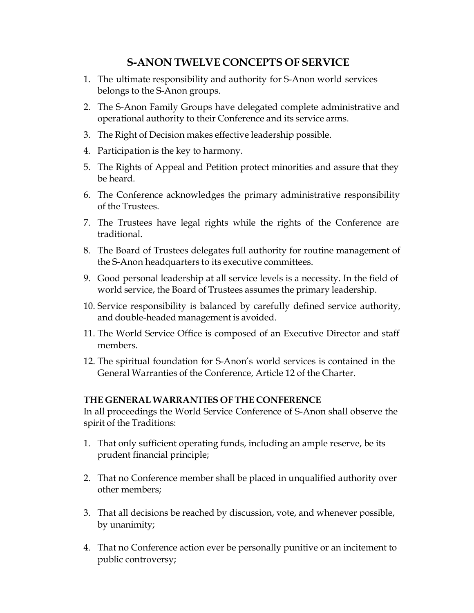# **S-ANON TWELVE CONCEPTS OF SERVICE**

- 1. The ultimate responsibility and authority for S-Anon world services belongs to the S-Anon groups.
- 2. The S-Anon Family Groups have delegated complete administrative and operational authority to their Conference and its service arms.
- 3. The Right of Decision makes effective leadership possible.
- 4. Participation is the key to harmony.
- 5. The Rights of Appeal and Petition protect minorities and assure that they be heard.
- 6. The Conference acknowledges the primary administrative responsibility of the Trustees.
- 7. The Trustees have legal rights while the rights of the Conference are traditional.
- 8. The Board of Trustees delegates full authority for routine management of the S-Anon headquarters to its executive committees.
- 9. Good personal leadership at all service levels is a necessity. In the field of world service, the Board of Trustees assumes the primary leadership.
- 10. Service responsibility is balanced by carefully defined service authority, and double-headed management is avoided.
- 11. The World Service Office is composed of an Executive Director and staff members.
- 12. The spiritual foundation for S-Anon's world services is contained in the General Warranties of the Conference, Article 12 of the Charter.

#### **THE GENERAL WARRANTIES OF THE CONFERENCE**

In all proceedings the World Service Conference of S-Anon shall observe the spirit of the Traditions:

- 1. That only sufficient operating funds, including an ample reserve, be its prudent financial principle;
- 2. That no Conference member shall be placed in unqualified authority over other members;
- 3. That all decisions be reached by discussion, vote, and whenever possible, by unanimity;
- 4. That no Conference action ever be personally punitive or an incitement to public controversy;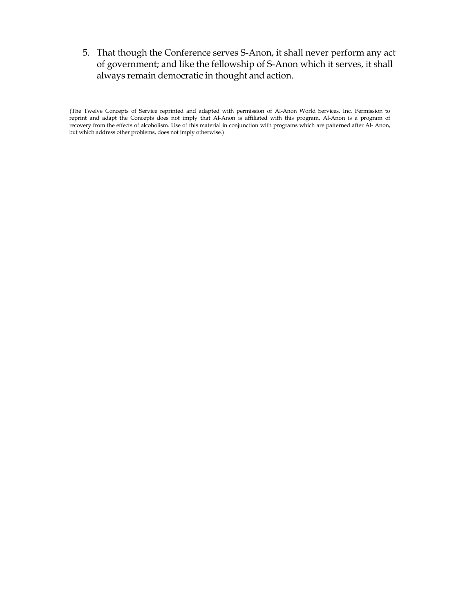5. That though the Conference serves S-Anon, it shall never perform any act of government; and like the fellowship of S-Anon which it serves, it shall always remain democratic in thought and action.

(The Twelve Concepts of Service reprinted and adapted with permission of Al-Anon World Services, Inc. Permission to reprint and adapt the Concepts does not imply that Al-Anon is affiliated with this program. Al-Anon is a program of recovery from the effects of alcoholism. Use of this material in conjunction with programs which are patterned after Al- Anon, but which address other problems, does not imply otherwise.)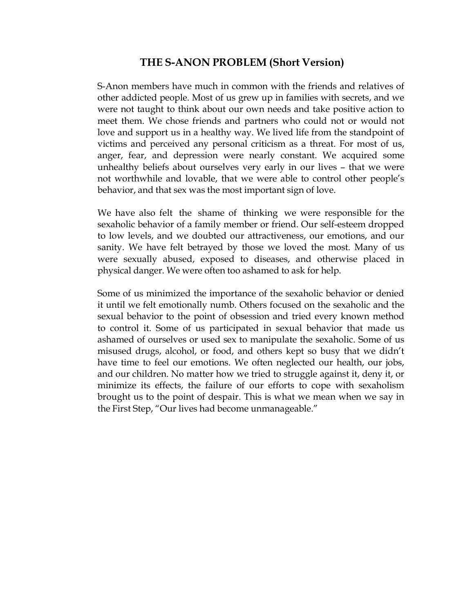# **THE S-ANON PROBLEM (Short Version)**

S-Anon members have much in common with the friends and relatives of other addicted people. Most of us grew up in families with secrets, and we were not taught to think about our own needs and take positive action to meet them. We chose friends and partners who could not or would not love and support us in a healthy way. We lived life from the standpoint of victims and perceived any personal criticism as a threat. For most of us, anger, fear, and depression were nearly constant. We acquired some unhealthy beliefs about ourselves very early in our lives – that we were not worthwhile and lovable, that we were able to control other people's behavior, and that sex was the most important sign of love.

We have also felt the shame of thinking we were responsible for the sexaholic behavior of a family member or friend. Our self-esteem dropped to low levels, and we doubted our attractiveness, our emotions, and our sanity. We have felt betrayed by those we loved the most. Many of us were sexually abused, exposed to diseases, and otherwise placed in physical danger. We were often too ashamed to ask for help.

Some of us minimized the importance of the sexaholic behavior or denied it until we felt emotionally numb. Others focused on the sexaholic and the sexual behavior to the point of obsession and tried every known method to control it. Some of us participated in sexual behavior that made us ashamed of ourselves or used sex to manipulate the sexaholic. Some of us misused drugs, alcohol, or food, and others kept so busy that we didn't have time to feel our emotions. We often neglected our health, our jobs, and our children. No matter how we tried to struggle against it, deny it, or minimize its effects, the failure of our efforts to cope with sexaholism brought us to the point of despair. This is what we mean when we say in the First Step, "Our lives had become unmanageable."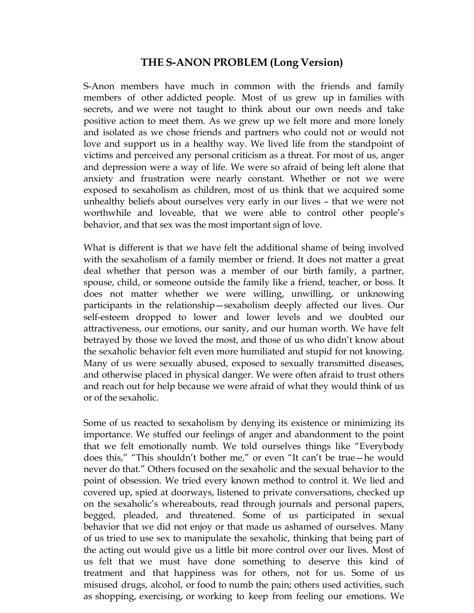# **THE S-ANON PROBLEM (Long Version)**

S-Anon members have much in common with the friends and family members of other addicted people. Most of us grew up in families with secrets, and we were not taught to think about our own needs and take positive action to meet them. As we grew up we felt more and more lonely and isolated as we chose friends and partners who could not or would not love and support us in a healthy way. We lived life from the standpoint of victims and perceived any personal criticism as a threat. For most of us, anger and depression were a way of life. We were so afraid of being left alone that anxiety and frustration were nearly constant. Whether or not we were exposed to sexaholism as children, most of us think that we acquired some unhealthy beliefs about ourselves very early in our lives – that we were not worthwhile and loveable, that we were able to control other people's behavior, and that sex was the most important sign of love.

What is different is that we have felt the additional shame of being involved with the sexaholism of a family member or friend. It does not matter a great deal whether that person was a member of our birth family, a partner, spouse, child, or someone outside the family like a friend, teacher, or boss. It does not matter whether we were willing, unwilling, or unknowing participants in the relationship—sexaholism deeply affected our lives. Our self-esteem dropped to lower and lower levels and we doubted our attractiveness, our emotions, our sanity, and our human worth. We have felt betrayed by those we loved the most, and those of us who didn't know about the sexaholic behavior felt even more humiliated and stupid for not knowing. Many of us were sexually abused, exposed to sexually transmitted diseases, and otherwise placed in physical danger. We were often afraid to trust others and reach out for help because we were afraid of what they would think of us or of the sexaholic.

Some of us reacted to sexaholism by denying its existence or minimizing its importance. We stuffed our feelings of anger and abandonment to the point that we felt emotionally numb. We told ourselves things like "Everybody does this," "This shouldn't bother me," or even "It can't be true—he would never do that." Others focused on the sexaholic and the sexual behavior to the point of obsession. We tried every known method to control it. We lied and covered up, spied at doorways, listened to private conversations, checked up on the sexaholic's whereabouts, read through journals and personal papers, begged, pleaded, and threatened. Some of us participated in sexual behavior that we did not enjoy or that made us ashamed of ourselves. Many of us tried to use sex to manipulate the sexaholic, thinking that being part of the acting out would give us a little bit more control over our lives. Most of us felt that we must have done something to deserve this kind of treatment and that happiness was for others, not for us. Some of us misused drugs, alcohol, or food to numb the pain; others used activities, such as shopping, exercising, or working to keep from feeling our emotions. We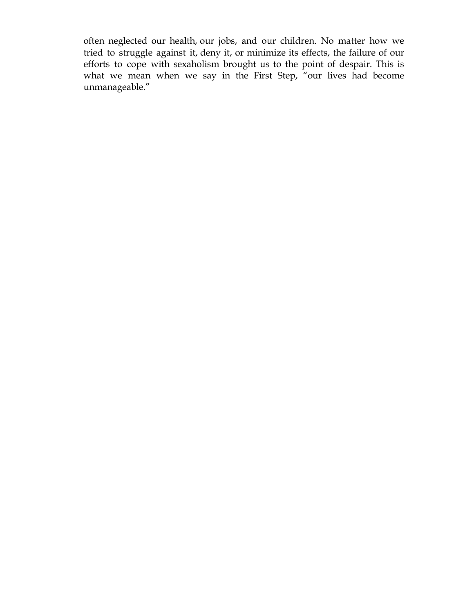often neglected our health, our jobs, and our children. No matter how we tried to struggle against it, deny it, or minimize its effects, the failure of our efforts to cope with sexaholism brought us to the point of despair. This is what we mean when we say in the First Step, "our lives had become unmanageable."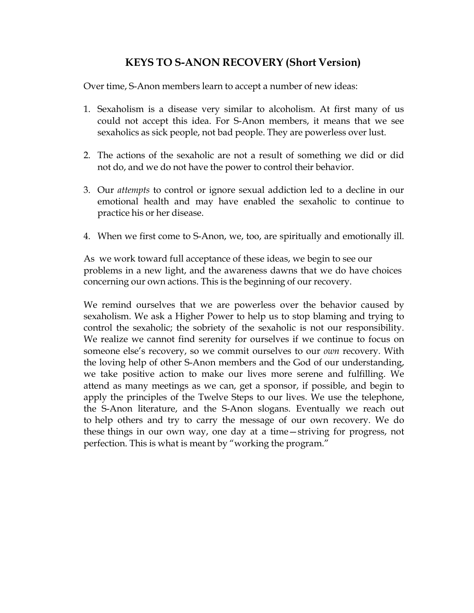# **KEYS TO S-ANON RECOVERY (Short Version)**

Over time, S-Anon members learn to accept a number of new ideas:

- 1. Sexaholism is a disease very similar to alcoholism. At first many of us could not accept this idea. For S-Anon members, it means that we see sexaholics as sick people, not bad people. They are powerless over lust.
- 2. The actions of the sexaholic are not a result of something we did or did not do, and we do not have the power to control their behavior.
- 3. Our *attempts* to control or ignore sexual addiction led to a decline in our emotional health and may have enabled the sexaholic to continue to practice his or her disease.
- 4. When we first come to S-Anon, we, too, are spiritually and emotionally ill.

As we work toward full acceptance of these ideas, we begin to see our problems in a new light, and the awareness dawns that we do have choices concerning our own actions. This is the beginning of our recovery.

We remind ourselves that we are powerless over the behavior caused by sexaholism. We ask a Higher Power to help us to stop blaming and trying to control the sexaholic; the sobriety of the sexaholic is not our responsibility. We realize we cannot find serenity for ourselves if we continue to focus on someone else's recovery, so we commit ourselves to our *own* recovery. With the loving help of other S-Anon members and the God of our understanding, we take positive action to make our lives more serene and fulfilling. We attend as many meetings as we can, get a sponsor, if possible, and begin to apply the principles of the Twelve Steps to our lives. We use the telephone, the S-Anon literature, and the S-Anon slogans. Eventually we reach out to help others and try to carry the message of our own recovery. We do these things in our own way, one day at a time—striving for progress, not perfection. This is what is meant by "working the program."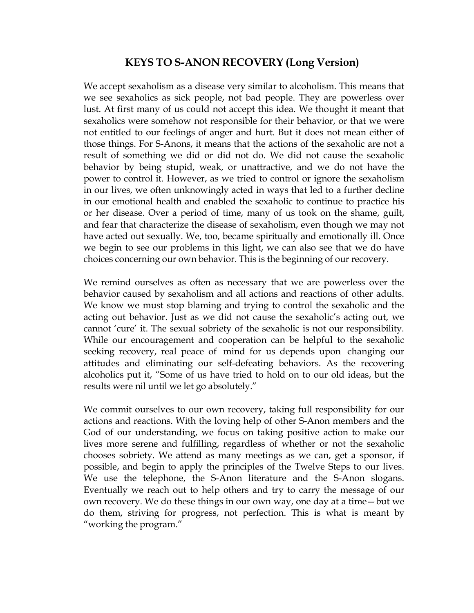# **KEYS TO S-ANON RECOVERY (Long Version)**

We accept sexaholism as a disease very similar to alcoholism. This means that we see sexaholics as sick people, not bad people. They are powerless over lust. At first many of us could not accept this idea. We thought it meant that sexaholics were somehow not responsible for their behavior, or that we were not entitled to our feelings of anger and hurt. But it does not mean either of those things. For S-Anons, it means that the actions of the sexaholic are not a result of something we did or did not do. We did not cause the sexaholic behavior by being stupid, weak, or unattractive, and we do not have the power to control it. However, as we tried to control or ignore the sexaholism in our lives, we often unknowingly acted in ways that led to a further decline in our emotional health and enabled the sexaholic to continue to practice his or her disease. Over a period of time, many of us took on the shame, guilt, and fear that characterize the disease of sexaholism, even though we may not have acted out sexually. We, too, became spiritually and emotionally ill. Once we begin to see our problems in this light, we can also see that we do have choices concerning our own behavior. This is the beginning of our recovery.

We remind ourselves as often as necessary that we are powerless over the behavior caused by sexaholism and all actions and reactions of other adults. We know we must stop blaming and trying to control the sexaholic and the acting out behavior. Just as we did not cause the sexaholic's acting out, we cannot 'cure' it. The sexual sobriety of the sexaholic is not our responsibility. While our encouragement and cooperation can be helpful to the sexaholic seeking recovery, real peace of mind for us depends upon changing our attitudes and eliminating our self-defeating behaviors. As the recovering alcoholics put it, "Some of us have tried to hold on to our old ideas, but the results were nil until we let go absolutely."

We commit ourselves to our own recovery, taking full responsibility for our actions and reactions. With the loving help of other S-Anon members and the God of our understanding, we focus on taking positive action to make our lives more serene and fulfilling, regardless of whether or not the sexaholic chooses sobriety. We attend as many meetings as we can, get a sponsor, if possible, and begin to apply the principles of the Twelve Steps to our lives. We use the telephone, the S-Anon literature and the S-Anon slogans. Eventually we reach out to help others and try to carry the message of our own recovery. We do these things in our own way, one day at a time—but we do them, striving for progress, not perfection. This is what is meant by "working the program."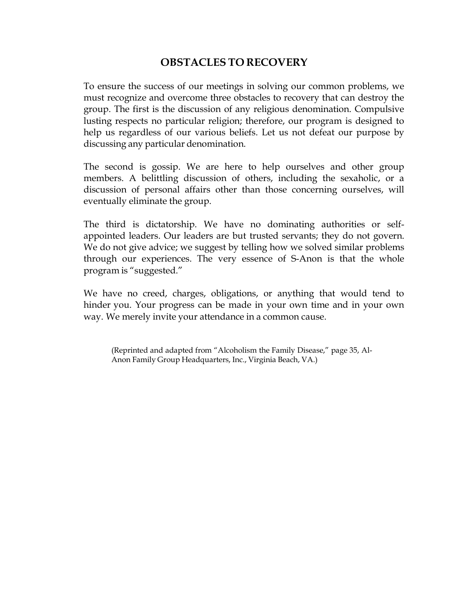# **OBSTACLES TO RECOVERY**

To ensure the success of our meetings in solving our common problems, we must recognize and overcome three obstacles to recovery that can destroy the group. The first is the discussion of any religious denomination. Compulsive lusting respects no particular religion; therefore, our program is designed to help us regardless of our various beliefs. Let us not defeat our purpose by discussing any particular denomination.

The second is gossip. We are here to help ourselves and other group members. A belittling discussion of others, including the sexaholic, or a discussion of personal affairs other than those concerning ourselves, will eventually eliminate the group.

The third is dictatorship. We have no dominating authorities or selfappointed leaders. Our leaders are but trusted servants; they do not govern. We do not give advice; we suggest by telling how we solved similar problems through our experiences. The very essence of S-Anon is that the whole program is "suggested."

We have no creed, charges, obligations, or anything that would tend to hinder you. Your progress can be made in your own time and in your own way. We merely invite your attendance in a common cause.

(Reprinted and adapted from "Alcoholism the Family Disease," page 35, Al-Anon Family Group Headquarters, Inc., Virginia Beach, VA.)